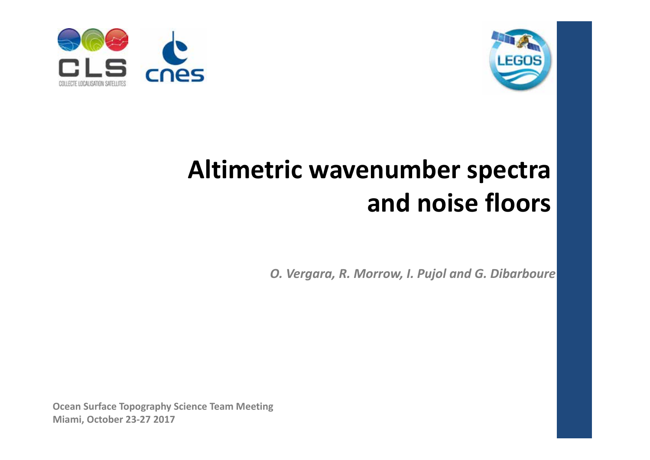



## **Altimetric wavenumber spectra and noise floors**

*O. Vergara, R. Morrow, I. Pujol and G. Dibarboure*

**Ocean Surface Topography Science Team Meeting Miami, October 23‐27 2017**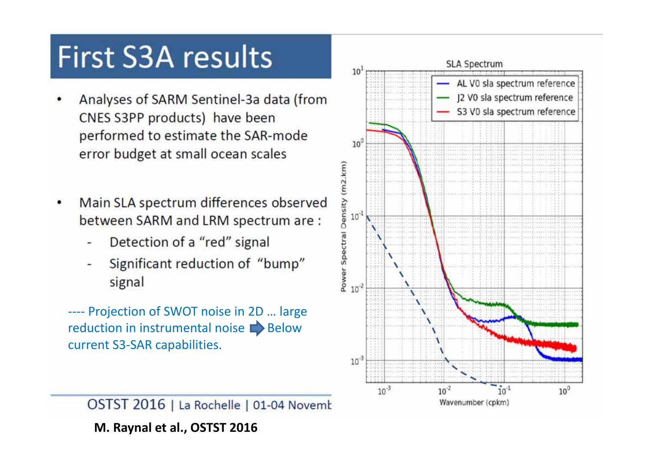# **First S3A results**

- Analyses of SARM Sentinel-3a data (from CNES S3PP products) have been performed to estimate the SAR-mode error budget at small ocean scales
- Main SLA spectrum differences observed Ċ between SARM and LRM spectrum are :
	- Detection of a "red" signal
	- Significant reduction of "bump" signal

‐‐‐‐ Projection of SWOT noise in 2D … large reduction in instrumental noise  $\blacksquare$  Below current S3‐SAR capabilities.

OSTST 2016 | La Rochelle | 01-04 Novemk **M. Raynal et al., OSTST 2016**

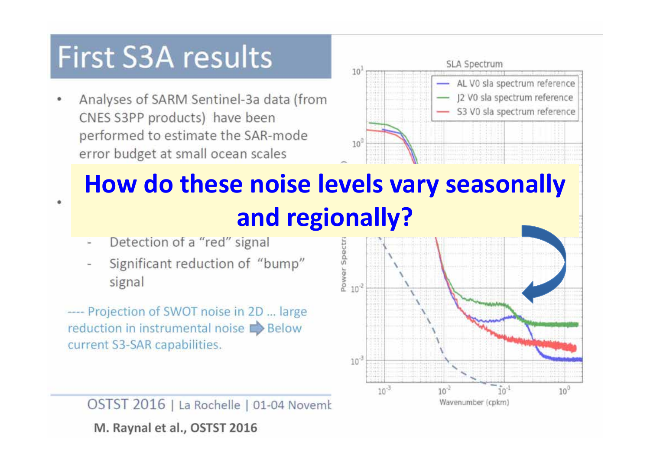## **First S3A results**

Analyses of SARM Sentinel-3a data (from CNES S3PP products) have been performed to estimate the SAR-mode error budget at small ocean scales



## **How do these noise levels vary seasonally and regionally?**

Detection of a "red" signal

¢

Significant reduction of "bump" signal

‐‐‐‐ Projection of SWOT noise in 2D … large reduction in instrumental noise **Below** current S3‐SAR capabilities.

OSTST 2016 | La Rochelle | 01-04 Novemb **M. Raynal et al., OSTST 2016**

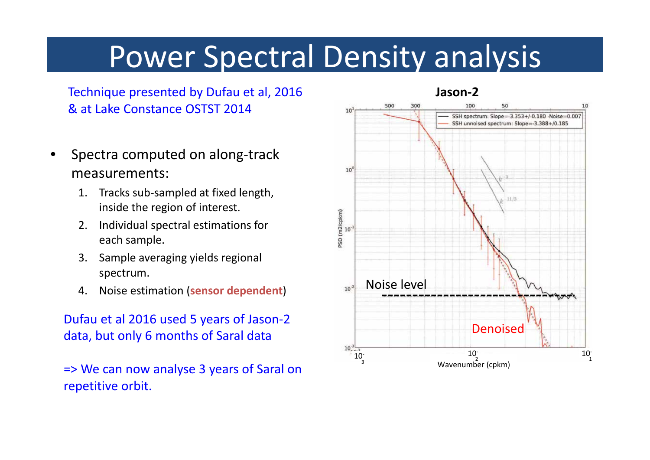# Power Spectral Density analysis

Technique presented by Dufau et al, 2016 & at Lake Constance OSTST 2014

- • Spectra computed on along‐track measurements:
	- 1. Tracks sub‐sampled at fixed length, inside the region of interest.
	- 2. Individual spectral estimations for each sample.
	- 3. Sample averaging yields regional spectrum.
	- 4. Noise estimation (sensor dependent) 10<sup>2</sup> Noise level

Dufau et al 2016 used 5 years of Jason‐2 data, but only 6 months of Saral data

=> We can now analyse 3 years of Saral on repetitive orbit.

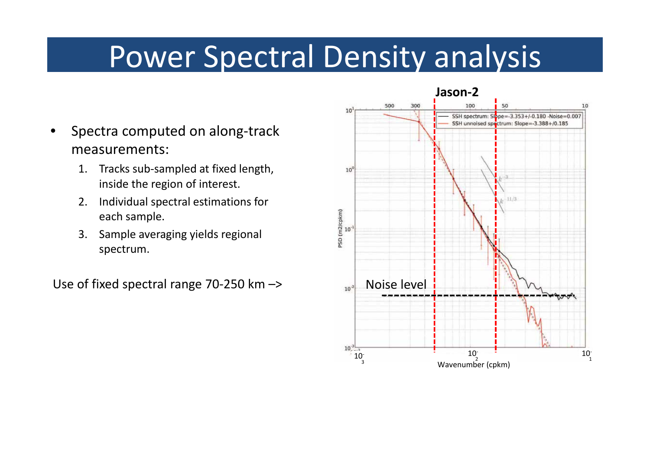# Power Spectral Density analysis

- • Spectra computed on along‐track measurements:
	- 1. Tracks sub‐sampled at fixed length, inside the region of interest.
	- 2. Individual spectral estimations for each sample.
	- 3. Sample averaging yields regional spectrum.

Use of fixed spectral range 70-250 km  $\rightarrow$  Noise level

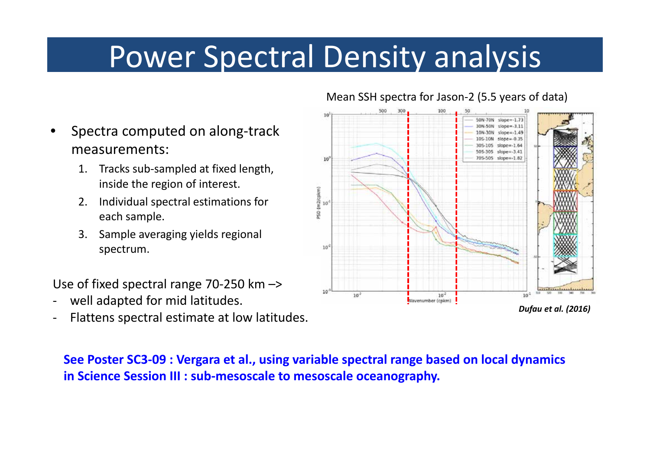# Power Spectral Density analysis

- • Spectra computed on along‐track measurements:
	- 1. Tracks sub‐sampled at fixed length, inside the region of interest.
	- 2. Individual spectral estimations for each sample.
	- 3. Sample averaging yields regional spectrum.

Use of fixed spectral range 70‐250 km –>

- ‐well adapted for mid latitudes.
- ‐Flattens spectral estimate at low latitudes.

#### **See Poster SC3‐09 : Vergara et al., using variable spectral range based on local dynamics in Science Session III : sub‐mesoscale to mesoscale oceanography.**



#### Mean SSH spectra for Jason‐2 (5.5 years of data)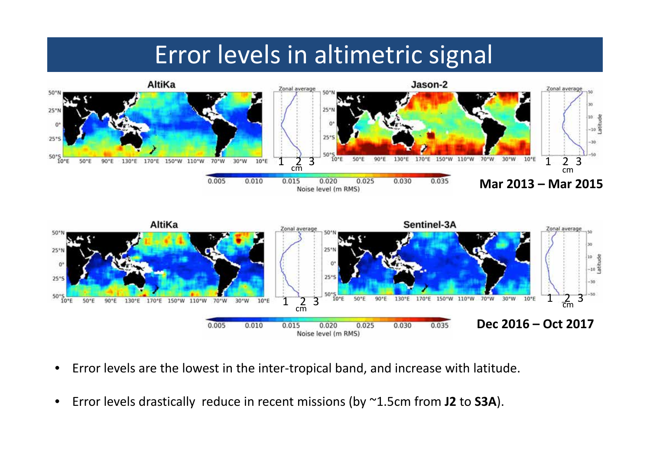### Error levels in altimetric signal





- •● Error levels are the lowest in the inter-tropical band, and increase with latitude.
- $\bullet$ Error levels drastically reduce in recent missions (by ~1.5cm from **J2** to **S3A**).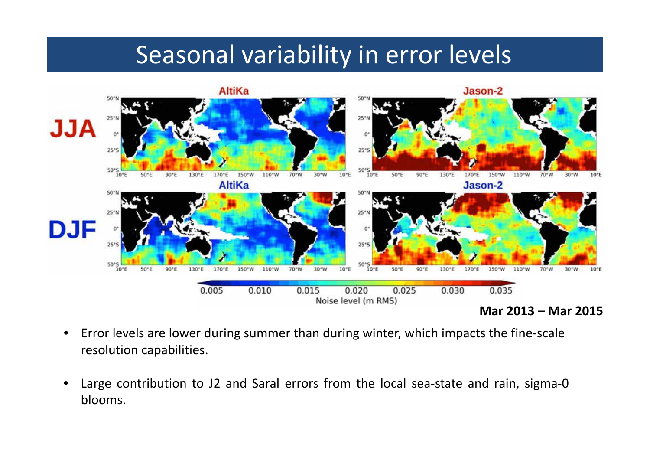#### Seasonal variability in error levels



- $\bullet$  Error levels are lower during summer than during winter, which impacts the fine‐scale resolution capabilities.
- •Large contribution to J2 and Saral errors from the local sea-state and rain, sigma-0 blooms.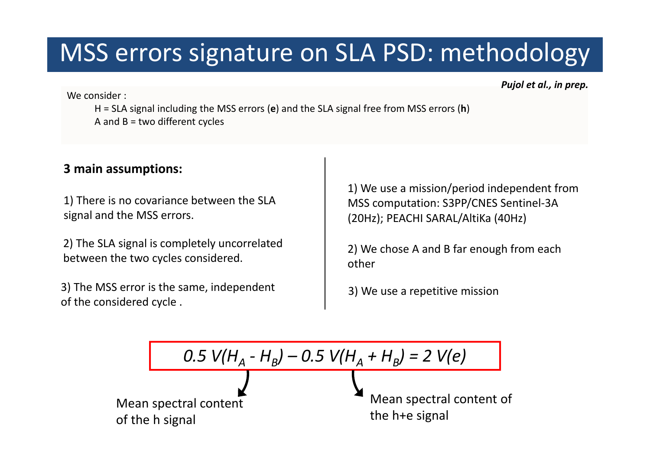### MSS errors signature on SLA PSD: methodology

*Pujol et al., in prep.*

We consider :

H <sup>=</sup> SLA signal including the MSS errors (**e**) and the SLA signal free from MSS errors (**h**) A and B <sup>=</sup> two different cycles

#### **3 main assumptions:**

1) There is no covariance between the SLA signal and the MSS errors.

2) The SLA signal is completely uncorrelated between the two cycles considered.

3) The MSS error is the same, independent of the considered cycle .

1) We use <sup>a</sup> mission/period independent from MSS computation: S3PP/CNES Sentinel‐3A (20Hz); PEACHI SARAL/AltiKa (40Hz)

2) We chose A and B far enough from each other

3) We use <sup>a</sup> repetitive mission

| $0.5 V(H_A - H_B) - 0.5 V(H_A + H_B) = 2 V(e)$ |
|------------------------------------------------|
|------------------------------------------------|

\nMean spectral content of the h signal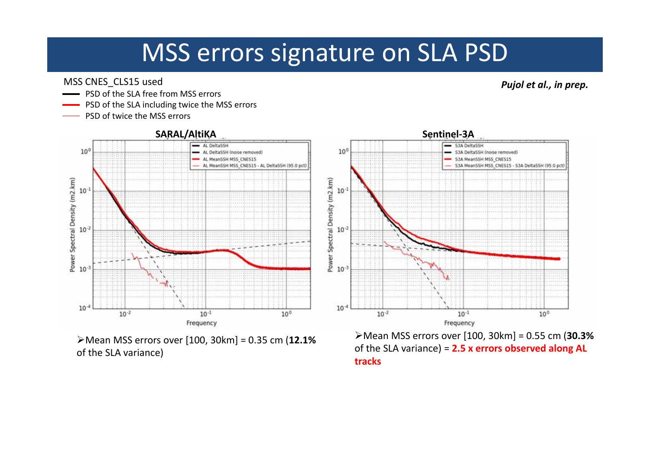### MSS errors signature on SLA PSD

MSS CNES\_CLS15 used

- PSD of the SLA free from MSS errors
- PSD of the SLA including twice the MSS errors
- PSD of twice the MSS errors



Mean MSS errors over [100, 30km] <sup>=</sup> 0.35 cm (**12.1%** of the SLA variance)

of the SLA variance) <sup>=</sup> **2.5 <sup>x</sup> errors observed along AL tracks**

*Pujol et al., in prep.*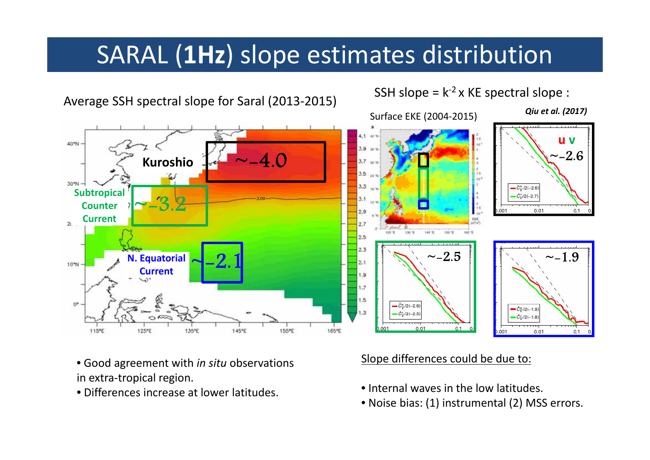### SARAL (**1Hz**) slope estimates distribution



Average SSH spectral slope for Saral (2013‐2015)

#### SSH slope =  $k^{-2}$  x KE spectral slope :

- Good agreement with *in situ* observations in extra‐tropical region.
- Differences increase at lower latitudes.

#### Slope differences could be due to:

- Internal waves in the low latitudes.
- Noise bias: (1) instrumental (2) MSS errors.